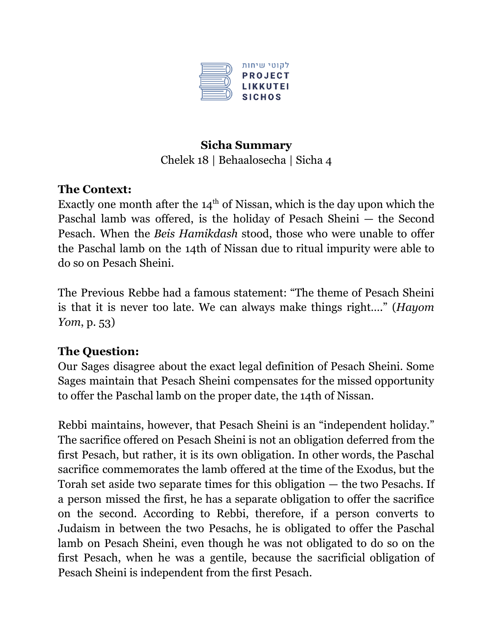

#### **Sicha Summary** Chelek 18 | Behaalosecha | Sicha 4

## **The Context:**

Exactly one month after the  $14<sup>th</sup>$  of Nissan, which is the day upon which the Paschal lamb was offered, is the holiday of Pesach Sheini — the Second Pesach. When the *Beis Hamikdash* stood, those who were unable to offer the Paschal lamb on the 14th of Nissan due to ritual impurity were able to do so on Pesach Sheini.

The Previous Rebbe had a famous statement: "The theme of Pesach Sheini is that it is never too late. We can always make things right…." (*Hayom Yom*, p. 53)

# **The Question:**

Our Sages disagree about the exact legal definition of Pesach Sheini. Some Sages maintain that Pesach Sheini compensates for the missed opportunity to offer the Paschal lamb on the proper date, the 14th of Nissan.

Rebbi maintains, however, that Pesach Sheini is an "independent holiday." The sacrifice offered on Pesach Sheini is not an obligation deferred from the first Pesach, but rather, it is its own obligation. In other words, the Paschal sacrifice commemorates the lamb offered at the time of the Exodus, but the Torah set aside two separate times for this obligation — the two Pesachs. If a person missed the first, he has a separate obligation to offer the sacrifice on the second. According to Rebbi, therefore, if a person converts to Judaism in between the two Pesachs, he is obligated to offer the Paschal lamb on Pesach Sheini, even though he was not obligated to do so on the first Pesach, when he was a gentile, because the sacrificial obligation of Pesach Sheini is independent from the first Pesach.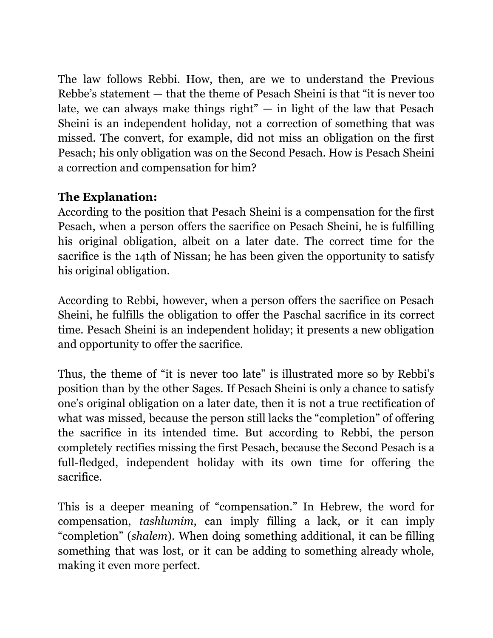The law follows Rebbi. How, then, are we to understand the Previous Rebbe's statement — that the theme of Pesach Sheini is that "it is never too late, we can always make things right"  $-$  in light of the law that Pesach Sheini is an independent holiday, not a correction of something that was missed. The convert, for example, did not miss an obligation on the first Pesach; his only obligation was on the Second Pesach. How is Pesach Sheini a correction and compensation for him?

## **The Explanation:**

According to the position that Pesach Sheini is a compensation for the first Pesach, when a person offers the sacrifice on Pesach Sheini, he is fulfilling his original obligation, albeit on a later date. The correct time for the sacrifice is the 14th of Nissan; he has been given the opportunity to satisfy his original obligation.

According to Rebbi, however, when a person offers the sacrifice on Pesach Sheini, he fulfills the obligation to offer the Paschal sacrifice in its correct time. Pesach Sheini is an independent holiday; it presents a new obligation and opportunity to offer the sacrifice.

Thus, the theme of "it is never too late" is illustrated more so by Rebbi's position than by the other Sages. If Pesach Sheini is only a chance to satisfy one's original obligation on a later date, then it is not a true rectification of what was missed, because the person still lacks the "completion" of offering the sacrifice in its intended time. But according to Rebbi, the person completely rectifies missing the first Pesach, because the Second Pesach is a full-fledged, independent holiday with its own time for offering the sacrifice.

This is a deeper meaning of "compensation." In Hebrew, the word for compensation, *tashlumim*, can imply filling a lack, or it can imply "completion" (*shalem*). When doing something additional, it can be filling something that was lost, or it can be adding to something already whole, making it even more perfect.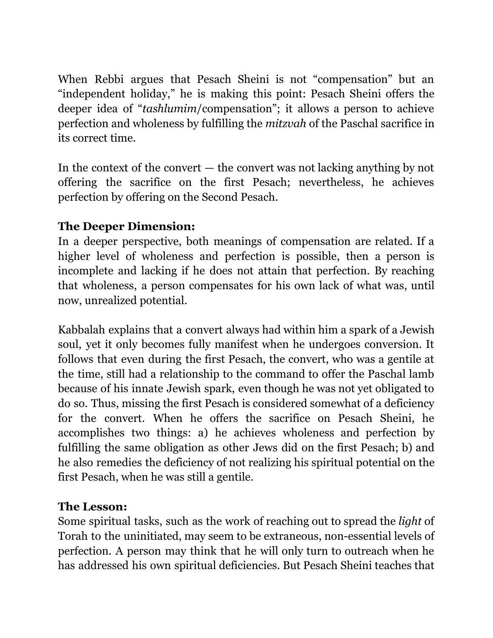When Rebbi argues that Pesach Sheini is not "compensation" but an "independent holiday," he is making this point: Pesach Sheini offers the deeper idea of "*tashlumim*/compensation"; it allows a person to achieve perfection and wholeness by fulfilling the *mitzvah* of the Paschal sacrifice in its correct time.

In the context of the convert  $-$  the convert was not lacking anything by not offering the sacrifice on the first Pesach; nevertheless, he achieves perfection by offering on the Second Pesach.

## **The Deeper Dimension:**

In a deeper perspective, both meanings of compensation are related. If a higher level of wholeness and perfection is possible, then a person is incomplete and lacking if he does not attain that perfection. By reaching that wholeness, a person compensates for his own lack of what was, until now, unrealized potential.

Kabbalah explains that a convert always had within him a spark of a Jewish soul, yet it only becomes fully manifest when he undergoes conversion. It follows that even during the first Pesach, the convert, who was a gentile at the time, still had a relationship to the command to offer the Paschal lamb because of his innate Jewish spark, even though he was not yet obligated to do so. Thus, missing the first Pesach is considered somewhat of a deficiency for the convert. When he offers the sacrifice on Pesach Sheini, he accomplishes two things: a) he achieves wholeness and perfection by fulfilling the same obligation as other Jews did on the first Pesach; b) and he also remedies the deficiency of not realizing his spiritual potential on the first Pesach, when he was still a gentile.

## **The Lesson:**

Some spiritual tasks, such as the work of reaching out to spread the *light* of Torah to the uninitiated, may seem to be extraneous, non-essential levels of perfection. A person may think that he will only turn to outreach when he has addressed his own spiritual deficiencies. But Pesach Sheini teaches that